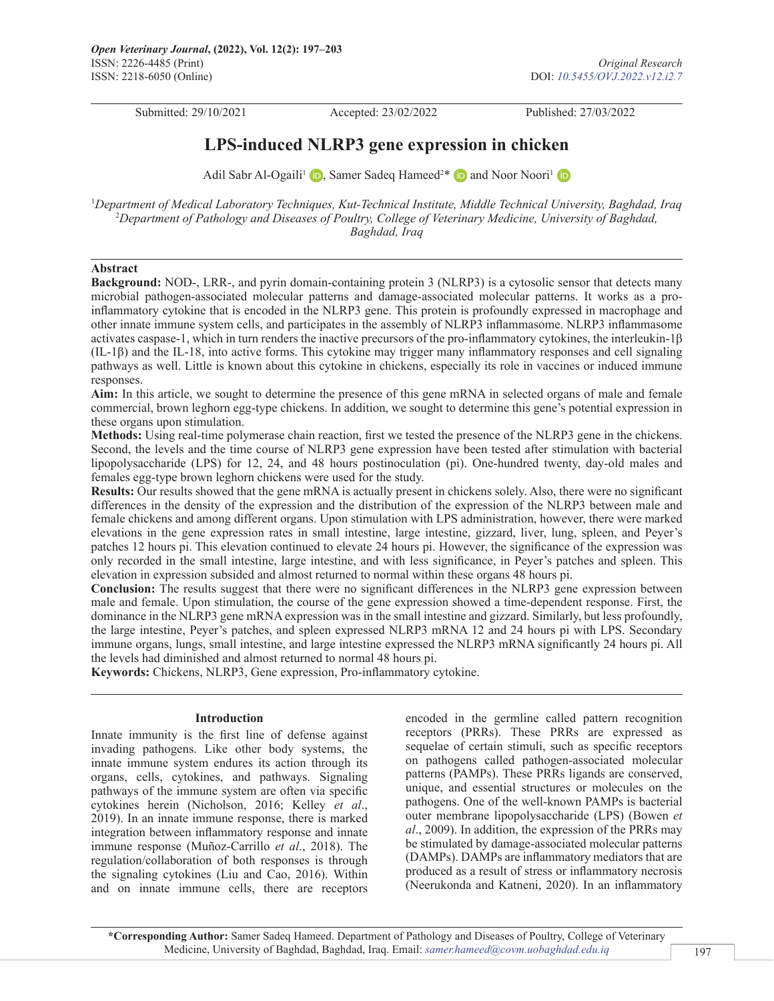Submitted: 29/10/2021 Accepted: 23/02/2022 Published: 27/03/2022

# **LPS-induced NLRP3 gene expression in chicken**

Adil Sabr Al-Ogaili<sup>1</sup> (D)[,](https://orcid.org/0000-0002-7353-5706)Samer Sadeq Hameed<sup>2\*</sup> (D) and Noor Noori<sup>1</sup>

1 *Department of Medical Laboratory Techniques, Kut-Technical Institute, Middle Technical University, Baghdad, Iraq* 2 *Department of Pathology and Diseases of Poultry, College of Veterinary Medicine, University of Baghdad, Baghdad, Iraq*

### **Abstract**

**Background:** NOD-, LRR-, and pyrin domain-containing protein 3 (NLRP3) is a cytosolic sensor that detects many microbial pathogen-associated molecular patterns and damage-associated molecular patterns. It works as a proinflammatory cytokine that is encoded in the NLRP3 gene. This protein is profoundly expressed in macrophage and other innate immune system cells, and participates in the assembly of NLRP3 inflammasome. NLRP3 inflammasome activates caspase-1, which in turn renders the inactive precursors of the pro-inflammatory cytokines, the interleukin- $1\beta$ (IL-1β) and the IL-18, into active forms. This cytokine may trigger many inflammatory responses and cell signaling pathways as well. Little is known about this cytokine in chickens, especially its role in vaccines or induced immune responses.

**Aim:** In this article, we sought to determine the presence of this gene mRNA in selected organs of male and female commercial, brown leghorn egg-type chickens. In addition, we sought to determine this gene's potential expression in these organs upon stimulation.

**Methods:** Using real-time polymerase chain reaction, first we tested the presence of the NLRP3 gene in the chickens. Second, the levels and the time course of NLRP3 gene expression have been tested after stimulation with bacterial lipopolysaccharide (LPS) for 12, 24, and 48 hours postinoculation (pi). One-hundred twenty, day-old males and females egg-type brown leghorn chickens were used for the study.

**Results:** Our results showed that the gene mRNA is actually present in chickens solely. Also, there were no significant differences in the density of the expression and the distribution of the expression of the NLRP3 between male and female chickens and among different organs. Upon stimulation with LPS administration, however, there were marked elevations in the gene expression rates in small intestine, large intestine, gizzard, liver, lung, spleen, and Peyer's patches 12 hours pi. This elevation continued to elevate 24 hours pi. However, the significance of the expression was only recorded in the small intestine, large intestine, and with less significance, in Peyer's patches and spleen. This elevation in expression subsided and almost returned to normal within these organs 48 hours pi.

**Conclusion:** The results suggest that there were no significant differences in the NLRP3 gene expression between male and female. Upon stimulation, the course of the gene expression showed a time-dependent response. First, the dominance in the NLRP3 gene mRNA expression was in the small intestine and gizzard. Similarly, but less profoundly, the large intestine, Peyer's patches, and spleen expressed NLRP3 mRNA 12 and 24 hours pi with LPS. Secondary immune organs, lungs, small intestine, and large intestine expressed the NLRP3 mRNA significantly 24 hours pi. All the levels had diminished and almost returned to normal 48 hours pi.

**Keywords:** Chickens, NLRP3, Gene expression, Pro-inflammatory cytokine.

### **Introduction**

Innate immunity is the first line of defense against invading pathogens. Like other body systems, the innate immune system endures its action through its organs, cells, cytokines, and pathways. Signaling pathways of the immune system are often via specific cytokines herein (Nicholson, 2016; Kelley *et al*., 2019). In an innate immune response, there is marked integration between inflammatory response and innate immune response (Muñoz-Carrillo *et al*., 2018). The regulation/collaboration of both responses is through the signaling cytokines (Liu and Cao, 2016). Within and on innate immune cells, there are receptors

encoded in the germline called pattern recognition receptors (PRRs). These PRRs are expressed as sequelae of certain stimuli, such as specific receptors on pathogens called pathogen-associated molecular patterns (PAMPs). These PRRs ligands are conserved, unique, and essential structures or molecules on the pathogens. One of the well-known PAMPs is bacterial outer membrane lipopolysaccharide (LPS) (Bowen *et al*., 2009). In addition, the expression of the PRRs may be stimulated by damage-associated molecular patterns (DAMPs). DAMPs are inflammatory mediators that are produced as a result of stress or inflammatory necrosis (Neerukonda and Katneni, 2020). In an inflammatory

**\*Corresponding Author:** Samer Sadeq Hameed. Department of Pathology and Diseases of Poultry, College of Veterinary Medicine, University of Baghdad, Baghdad, Iraq. Email: *[samer.hameed@covm.uobaghdad.edu.iq](mailto:samer.hameed@covm.uobaghdad.edu.iq)*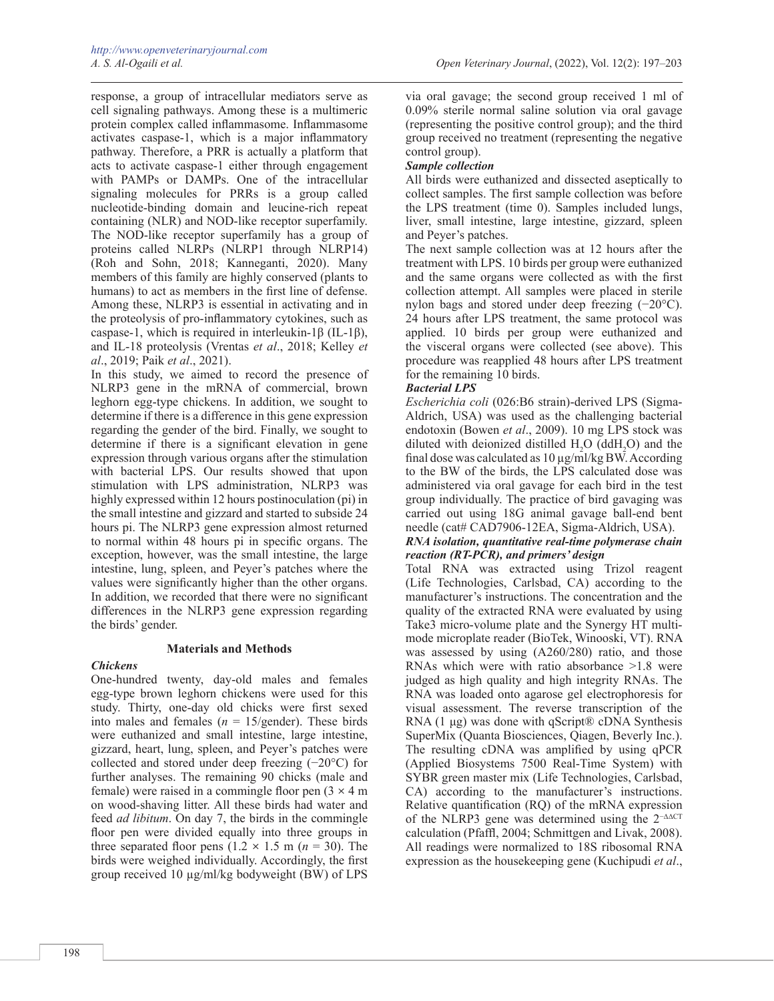response, a group of intracellular mediators serve as cell signaling pathways. Among these is a multimeric protein complex called inflammasome. Inflammasome activates caspase-1, which is a major inflammatory pathway. Therefore, a PRR is actually a platform that acts to activate caspase-1 either through engagement with PAMPs or DAMPs. One of the intracellular signaling molecules for PRRs is a group called nucleotide-binding domain and leucine-rich repeat containing (NLR) and NOD-like receptor superfamily. The NOD-like receptor superfamily has a group of proteins called NLRPs (NLRP1 through NLRP14) (Roh and Sohn, 2018; Kanneganti, 2020). Many members of this family are highly conserved (plants to humans) to act as members in the first line of defense. Among these, NLRP3 is essential in activating and in the proteolysis of pro-inflammatory cytokines, such as caspase-1, which is required in interleukin-1β (IL-1β), and IL-18 proteolysis (Vrentas *et al*., 2018; Kelley *et al*., 2019; Paik *et al*., 2021).

In this study, we aimed to record the presence of NLRP3 gene in the mRNA of commercial, brown leghorn egg-type chickens. In addition, we sought to determine if there is a difference in this gene expression regarding the gender of the bird. Finally, we sought to determine if there is a significant elevation in gene expression through various organs after the stimulation with bacterial LPS. Our results showed that upon stimulation with LPS administration, NLRP3 was highly expressed within 12 hours postinoculation (pi) in the small intestine and gizzard and started to subside 24 hours pi. The NLRP3 gene expression almost returned to normal within 48 hours pi in specific organs. The exception, however, was the small intestine, the large intestine, lung, spleen, and Peyer's patches where the values were significantly higher than the other organs. In addition, we recorded that there were no significant differences in the NLRP3 gene expression regarding the birds' gender.

### **Materials and Methods**

### *Chickens*

One-hundred twenty, day-old males and females egg-type brown leghorn chickens were used for this study. Thirty, one-day old chicks were first sexed into males and females  $(n = 15/\text{gender})$ . These birds were euthanized and small intestine, large intestine, gizzard, heart, lung, spleen, and Peyer's patches were collected and stored under deep freezing (−20°C) for further analyses. The remaining 90 chicks (male and female) were raised in a commingle floor pen  $(3 \times 4 \text{ m})$ on wood-shaving litter. All these birds had water and feed *ad libitum*. On day 7, the birds in the commingle floor pen were divided equally into three groups in three separated floor pens  $(1.2 \times 1.5 \text{ m}) (n = 30)$ . The birds were weighed individually. Accordingly, the first group received 10 µg/ml/kg bodyweight (BW) of LPS

via oral gavage; the second group received 1 ml of 0.09% sterile normal saline solution via oral gavage (representing the positive control group); and the third group received no treatment (representing the negative control group).

# *Sample collection*

All birds were euthanized and dissected aseptically to collect samples. The first sample collection was before the LPS treatment (time 0). Samples included lungs, liver, small intestine, large intestine, gizzard, spleen and Peyer's patches.

The next sample collection was at 12 hours after the treatment with LPS. 10 birds per group were euthanized and the same organs were collected as with the first collection attempt. All samples were placed in sterile nylon bags and stored under deep freezing (−20°C). 24 hours after LPS treatment, the same protocol was applied. 10 birds per group were euthanized and the visceral organs were collected (see above). This procedure was reapplied 48 hours after LPS treatment for the remaining 10 birds.

# *Bacterial LPS*

*Escherichia coli* (026:B6 strain)-derived LPS (Sigma-Aldrich, USA) was used as the challenging bacterial endotoxin (Bowen *et al*., 2009). 10 mg LPS stock was diluted with deionized distilled  $H_2O$  (dd $H_2O$ ) and the final dose was calculated as  $10 \mu g/\text{m}$ /kg BW. According to the BW of the birds, the LPS calculated dose was administered via oral gavage for each bird in the test group individually. The practice of bird gavaging was carried out using 18G animal gavage ball-end bent needle (cat# CAD7906-12EA, Sigma-Aldrich, USA).

### *RNA isolation, quantitative real-time polymerase chain reaction (RT-PCR), and primers' design*

Total RNA was extracted using Trizol reagent (Life Technologies, Carlsbad, CA) according to the manufacturer's instructions. The concentration and the quality of the extracted RNA were evaluated by using Take3 micro-volume plate and the Synergy HT multimode microplate reader (BioTek, Winooski, VT). RNA was assessed by using (A260/280) ratio, and those RNAs which were with ratio absorbance >1.8 were judged as high quality and high integrity RNAs. The RNA was loaded onto agarose gel electrophoresis for visual assessment. The reverse transcription of the RNA  $(1 \mu g)$  was done with qScript® cDNA Synthesis SuperMix (Quanta Biosciences, Qiagen, Beverly Inc.). The resulting cDNA was amplified by using qPCR (Applied Biosystems 7500 Real-Time System) with SYBR green master mix (Life Technologies, Carlsbad, CA) according to the manufacturer's instructions. Relative quantification (RQ) of the mRNA expression of the NLRP3 gene was determined using the  $2^{-\Delta\Delta CT}$ calculation (Pfaffl, 2004; Schmittgen and Livak, 2008). All readings were normalized to 18S ribosomal RNA expression as the housekeeping gene (Kuchipudi *et al*.,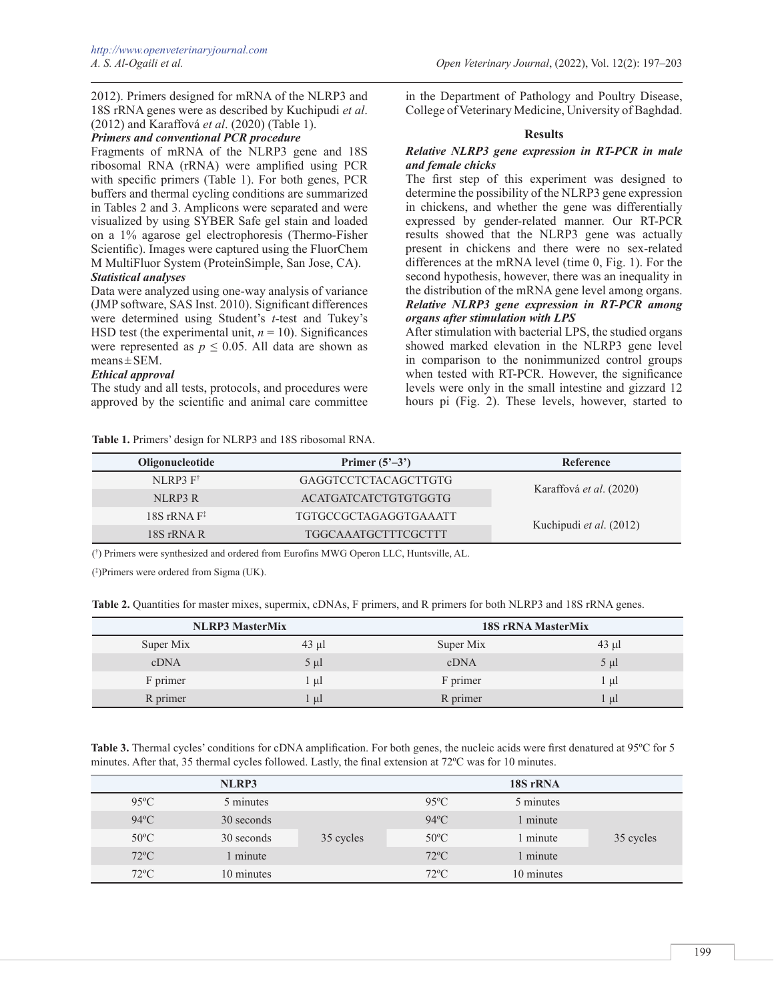2012). Primers designed for mRNA of the NLRP3 and 18S rRNA genes were as described by Kuchipudi *et al*. (2012) and Karaffová *et al*. (2020) (Table 1).

# *Primers and conventional PCR procedure*

Fragments of mRNA of the NLRP3 gene and 18S ribosomal RNA (rRNA) were amplified using PCR with specific primers (Table 1). For both genes, PCR buffers and thermal cycling conditions are summarized in Tables 2 and 3. Amplicons were separated and were visualized by using SYBER Safe gel stain and loaded on a 1% agarose gel electrophoresis (Thermo-Fisher Scientific). Images were captured using the FluorChem M MultiFluor System (ProteinSimple, San Jose, CA).

### *Statistical analyses*

Data were analyzed using one-way analysis of variance (JMP software, SAS Inst. 2010). Significant differences were determined using Student's *t*-test and Tukey's HSD test (the experimental unit,  $n = 10$ ). Significances were represented as  $p \leq 0.05$ . All data are shown as  $means \pm SEM$ .

### *Ethical approval*

The study and all tests, protocols, and procedures were approved by the scientific and animal care committee

in the Department of Pathology and Poultry Disease, College of Veterinary Medicine, University of Baghdad.

### **Results**

### *Relative NLRP3 gene expression in RT-PCR in male and female chicks*

The first step of this experiment was designed to determine the possibility of the NLRP3 gene expression in chickens, and whether the gene was differentially expressed by gender-related manner. Our RT-PCR results showed that the NLRP3 gene was actually present in chickens and there were no sex-related differences at the mRNA level (time 0, Fig. 1). For the second hypothesis, however, there was an inequality in the distribution of the mRNA gene level among organs. *Relative NLRP3 gene expression in RT-PCR among organs after stimulation with LPS*

After stimulation with bacterial LPS, the studied organs showed marked elevation in the NLRP3 gene level in comparison to the nonimmunized control groups when tested with RT-PCR. However, the significance levels were only in the small intestine and gizzard 12 hours pi (Fig. 2). These levels, however, started to

**Table 1.** Primers' design for NLRP3 and 18S ribosomal RNA.

| NLRP3 F <sup>†</sup><br>GAGGTCCTCTACAGCTTGTG<br>Karaffová et al. (2020)<br>ACATGATCATCTGTGTGGTG<br>NLRP3R<br>$18S$ rRNA $F^*$<br>TGTGCCGCTAGAGGTGAAATT<br>Kuchipudi et al. (2012) | Oligonucleotide | Primer $(5^{\prime}-3^{\prime})$ |  |  |
|-----------------------------------------------------------------------------------------------------------------------------------------------------------------------------------|-----------------|----------------------------------|--|--|
|                                                                                                                                                                                   |                 |                                  |  |  |
|                                                                                                                                                                                   |                 |                                  |  |  |
|                                                                                                                                                                                   |                 |                                  |  |  |
|                                                                                                                                                                                   | 18S rRNA R      | <b>TGGCAAATGCTTTCGCTTT</b>       |  |  |

(† ) Primers were synthesized and ordered from Eurofins MWG Operon LLC, Huntsville, AL.

(‡ )Primers were ordered from Sigma (UK).

**Table 2.** Quantities for master mixes, supermix, cDNAs, F primers, and R primers for both NLRP3 and 18S rRNA genes.

| <b>NLRP3</b> MasterMix |            | <b>18S rRNA MasterMix</b> |            |  |
|------------------------|------------|---------------------------|------------|--|
| Super Mix              | $43 \mu l$ | Super Mix                 | $43 \mu l$ |  |
| cDNA                   | $5 \mu l$  | cDNA                      | $5 \mu l$  |  |
| F primer               | . µl       | F primer                  | . ul       |  |
| R primer               | -ul        | R primer                  | -ul        |  |

**Table 3.** Thermal cycles' conditions for cDNA amplification. For both genes, the nucleic acids were first denatured at 95°C for 5 minutes. After that, 35 thermal cycles followed. Lastly, the final extension at 72ºC was for 10 minutes.

|                | NLRP3      |           |                | 18S rRNA   |           |
|----------------|------------|-----------|----------------|------------|-----------|
| $95^{\circ}$ C | 5 minutes  |           | $95^{\circ}$ C | 5 minutes  |           |
| $94^{\circ}$ C | 30 seconds |           | $94^{\circ}$ C | 1 minute   |           |
| $50^{\circ}$ C | 30 seconds | 35 cycles | $50^{\circ}$ C | 1 minute   | 35 cycles |
| $72^{\circ}$ C | 1 minute   |           | $72^{\circ}$ C | 1 minute   |           |
| $72^{\circ}$ C | 10 minutes |           | $72^{\circ}$ C | 10 minutes |           |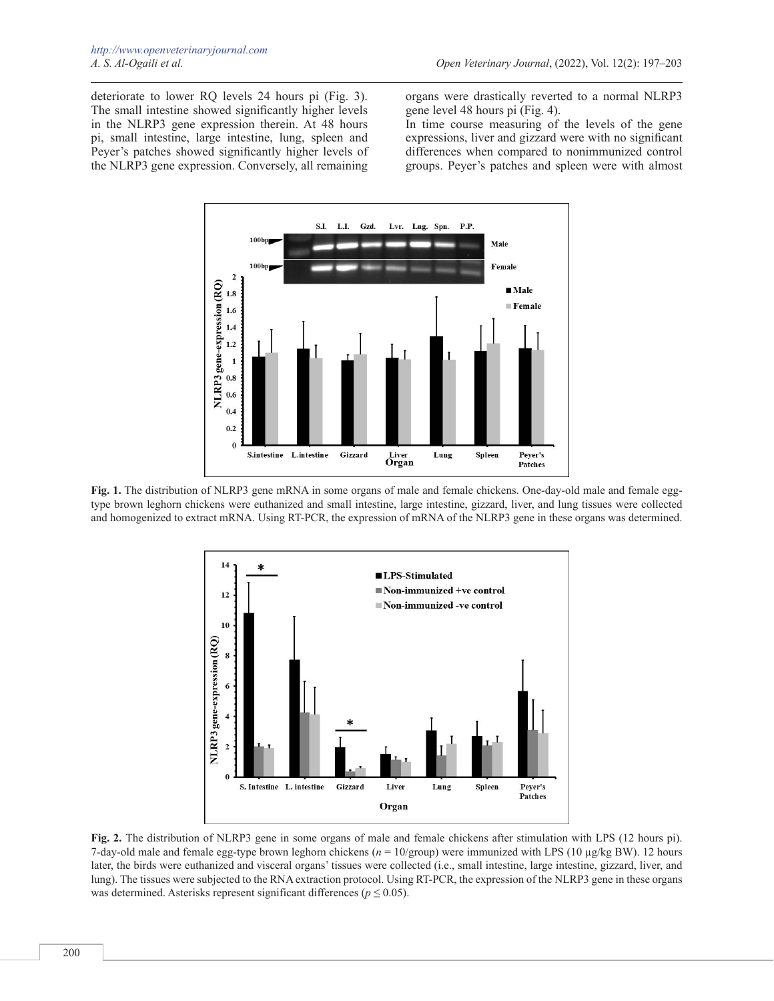deteriorate to lower RQ levels 24 hours pi (Fig. 3). The small intestine showed significantly higher levels in the NLRP3 gene expression therein. At 48 hours pi, small intestine, large intestine, lung, spleen and Peyer's patches showed significantly higher levels of the NLRP3 gene expression. Conversely, all remaining organs were drastically reverted to a normal NLRP3 gene level 48 hours pi (Fig. 4).

In time course measuring of the levels of the gene expressions, liver and gizzard were with no significant differences when compared to nonimmunized control groups. Peyer's patches and spleen were with almost



**Fig. 1.** The distribution of NLRP3 gene mRNA in some organs of male and female chickens. One-day-old male and female eggtype brown leghorn chickens were euthanized and small intestine, large intestine, gizzard, liver, and lung tissues were collected and homogenized to extract mRNA. Using RT-PCR, the expression of mRNA of the NLRP3 gene in these organs was determined.



**Fig. 2.** The distribution of NLRP3 gene in some organs of male and female chickens after stimulation with LPS (12 hours pi). 7-day-old male and female egg-type brown leghorn chickens (*n* = 10/group) were immunized with LPS (10 µg/kg BW). 12 hours later, the birds were euthanized and visceral organs' tissues were collected (i.e., small intestine, large intestine, gizzard, liver, and lung). The tissues were subjected to the RNA extraction protocol. Using RT-PCR, the expression of the NLRP3 gene in these organs was determined. Asterisks represent significant differences ( $p \le 0.05$ ).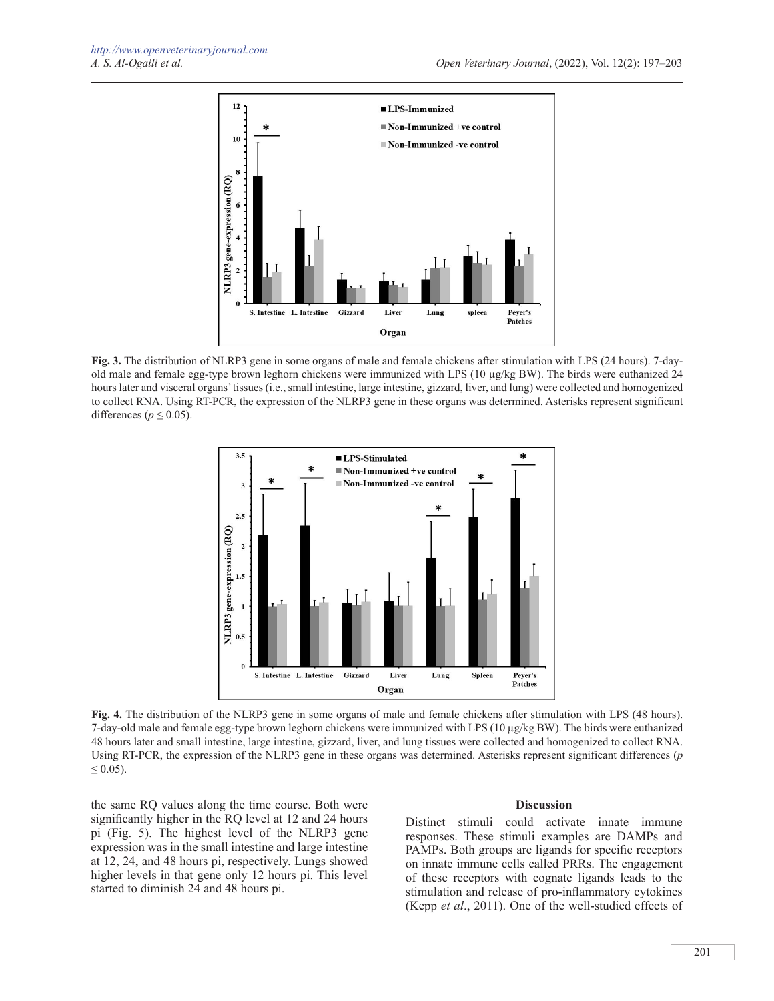

**Fig. 3.** The distribution of NLRP3 gene in some organs of male and female chickens after stimulation with LPS (24 hours). 7-dayold male and female egg-type brown leghorn chickens were immunized with LPS (10 µg/kg BW). The birds were euthanized 24 hours later and visceral organs' tissues (i.e., small intestine, large intestine, gizzard, liver, and lung) were collected and homogenized to collect RNA. Using RT-PCR, the expression of the NLRP3 gene in these organs was determined. Asterisks represent significant differences ( $p \leq 0.05$ ).



**Fig. 4.** The distribution of the NLRP3 gene in some organs of male and female chickens after stimulation with LPS (48 hours). 7-day-old male and female egg-type brown leghorn chickens were immunized with LPS (10 µg/kg BW). The birds were euthanized 48 hours later and small intestine, large intestine, gizzard, liver, and lung tissues were collected and homogenized to collect RNA. Using RT-PCR, the expression of the NLRP3 gene in these organs was determined. Asterisks represent significant differences (*p*   $\leq 0.05$ ).

the same RQ values along the time course. Both were significantly higher in the RQ level at 12 and 24 hours pi (Fig. 5). The highest level of the NLRP3 gene expression was in the small intestine and large intestine at 12, 24, and 48 hours pi, respectively. Lungs showed higher levels in that gene only 12 hours pi. This level started to diminish 24 and 48 hours pi.

#### **Discussion**

Distinct stimuli could activate innate immune responses. These stimuli examples are DAMPs and PAMPs. Both groups are ligands for specific receptors on innate immune cells called PRRs. The engagement of these receptors with cognate ligands leads to the stimulation and release of pro-inflammatory cytokines (Kepp *et al*., 2011). One of the well-studied effects of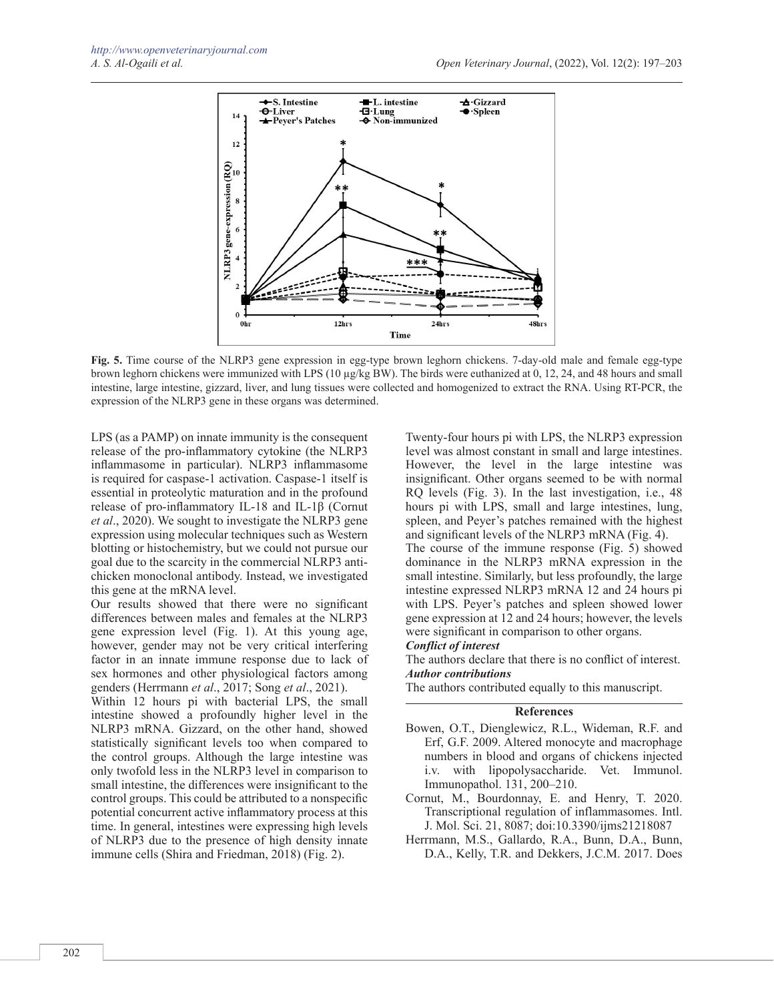

**Fig. 5.** Time course of the NLRP3 gene expression in egg-type brown leghorn chickens. 7-day-old male and female egg-type brown leghorn chickens were immunized with LPS (10 µg/kg BW). The birds were euthanized at 0, 12, 24, and 48 hours and small intestine, large intestine, gizzard, liver, and lung tissues were collected and homogenized to extract the RNA. Using RT-PCR, the expression of the NLRP3 gene in these organs was determined.

LPS (as a PAMP) on innate immunity is the consequent release of the pro-inflammatory cytokine (the NLRP3 inflammasome in particular). NLRP3 inflammasome is required for caspase-1 activation. Caspase-1 itself is essential in proteolytic maturation and in the profound release of pro-inflammatory IL-18 and IL-1β (Cornut *et al*., 2020). We sought to investigate the NLRP3 gene expression using molecular techniques such as Western blotting or histochemistry, but we could not pursue our goal due to the scarcity in the commercial NLRP3 antichicken monoclonal antibody. Instead, we investigated this gene at the mRNA level.

Our results showed that there were no significant differences between males and females at the NLRP3 gene expression level (Fig. 1). At this young age, however, gender may not be very critical interfering factor in an innate immune response due to lack of sex hormones and other physiological factors among genders (Herrmann *et al*., 2017; Song *et al*., 2021).

Within 12 hours pi with bacterial LPS, the small intestine showed a profoundly higher level in the NLRP3 mRNA. Gizzard, on the other hand, showed statistically significant levels too when compared to the control groups. Although the large intestine was only twofold less in the NLRP3 level in comparison to small intestine, the differences were insignificant to the control groups. This could be attributed to a nonspecific potential concurrent active inflammatory process at this time. In general, intestines were expressing high levels of NLRP3 due to the presence of high density innate immune cells (Shira and Friedman, 2018) (Fig. 2).

Twenty-four hours pi with LPS, the NLRP3 expression level was almost constant in small and large intestines. However, the level in the large intestine was insignificant. Other organs seemed to be with normal RQ levels (Fig. 3). In the last investigation, i.e., 48 hours pi with LPS, small and large intestines, lung, spleen, and Peyer's patches remained with the highest and significant levels of the NLRP3 mRNA (Fig. 4).

The course of the immune response (Fig. 5) showed dominance in the NLRP3 mRNA expression in the small intestine. Similarly, but less profoundly, the large intestine expressed NLRP3 mRNA 12 and 24 hours pi with LPS. Peyer's patches and spleen showed lower gene expression at 12 and 24 hours; however, the levels were significant in comparison to other organs.

#### *Conflict of interest*

The authors declare that there is no conflict of interest. *Author contributions*

The authors contributed equally to this manuscript.

### **References**

- Bowen, O.T., Dienglewicz, R.L., Wideman, R.F. and Erf, G.F. 2009. Altered monocyte and macrophage numbers in blood and organs of chickens injected i.v. with lipopolysaccharide. Vet. Immunol. Immunopathol. 131, 200–210.
- Cornut, M., Bourdonnay, E. and Henry, T. 2020. Transcriptional regulation of inflammasomes. Intl. J. Mol. Sci. 21, 8087; doi:10.3390/ijms21218087
- Herrmann, M.S., Gallardo, R.A., Bunn, D.A., Bunn, D.A., Kelly, T.R. and Dekkers, J.C.M. 2017. Does